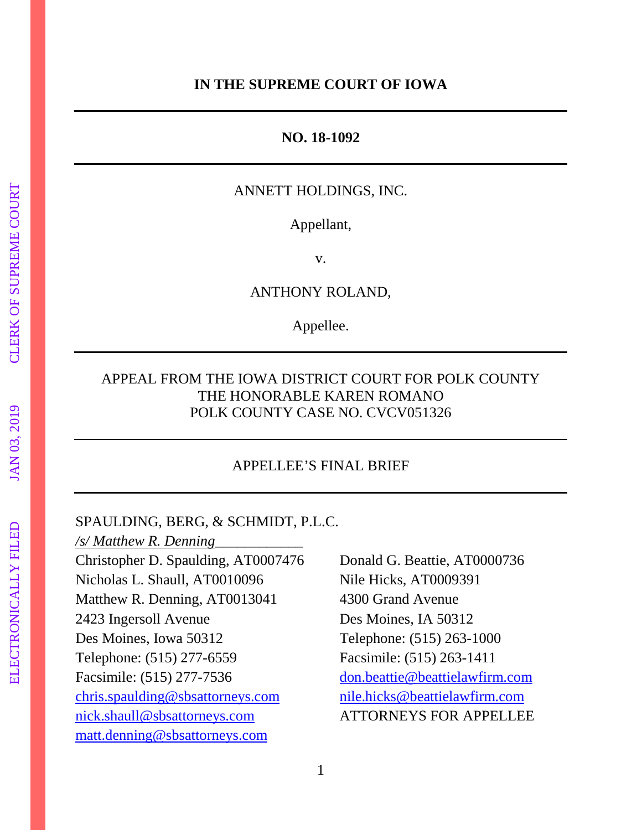#### **IN THE SUPREME COURT OF IOWA**

#### **NO. 18-1092**

### ANNETT HOLDINGS, INC.

Appellant,

v.

ANTHONY ROLAND,

Appellee.

### APPEAL FROM THE IOWA DISTRICT COURT FOR POLK COUNTY THE HONORABLE KAREN ROMANO POLK COUNTY CASE NO. CVCV051326

#### APPELLEE'S FINAL BRIEF

#### SPAULDING, BERG, & SCHMIDT, P.L.C.

*/s/ Matthew R. Denning*\_\_\_\_\_\_\_\_\_\_\_\_ Christopher D. Spaulding, AT0007476 Donald G. Beattie, AT0000736 Nicholas L. Shaull, AT0010096 Nile Hicks, AT0009391 Matthew R. Denning, AT0013041 4300 Grand Avenue 2423 Ingersoll Avenue Des Moines, IA 50312 Des Moines, Iowa 50312 Telephone: (515) 263-1000 Telephone: (515) 277-6559 Facsimile: (515) 263-1411 Facsimile: (515) 277-7536 [don.beattie@beattielawfirm.com](mailto:don.beattie@beattielawfirm.com) [chris.spaulding@sbsattorneys.com](mailto:chris.spaulding@sbsattorneys.com) [nile.hicks@beattielawfirm.com](mailto:nile.hicks@beattielawfirm.com) [nick.shaull@sbsattorneys.com](mailto:nick.shaull@sbsattorneys.com) ATTORNEYS FOR APPELLEE [matt.denning@sbsattorneys.com](mailto:matt.denning@sbsattorneys.com)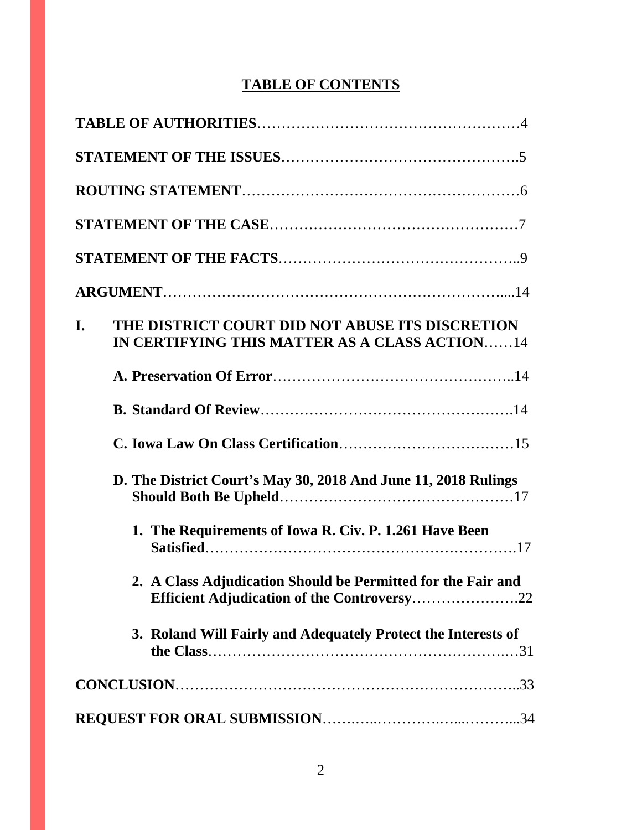# **TABLE OF CONTENTS**

| I. | THE DISTRICT COURT DID NOT ABUSE ITS DISCRETION<br>IN CERTIFYING THIS MATTER AS A CLASS ACTION14            |
|----|-------------------------------------------------------------------------------------------------------------|
|    |                                                                                                             |
|    |                                                                                                             |
|    |                                                                                                             |
|    | D. The District Court's May 30, 2018 And June 11, 2018 Rulings                                              |
|    | 1. The Requirements of Iowa R. Civ. P. 1.261 Have Been                                                      |
|    | 2. A Class Adjudication Should be Permitted for the Fair and<br>Efficient Adjudication of the Controversy22 |
|    | 3. Roland Will Fairly and Adequately Protect the Interests of                                               |
|    |                                                                                                             |
|    |                                                                                                             |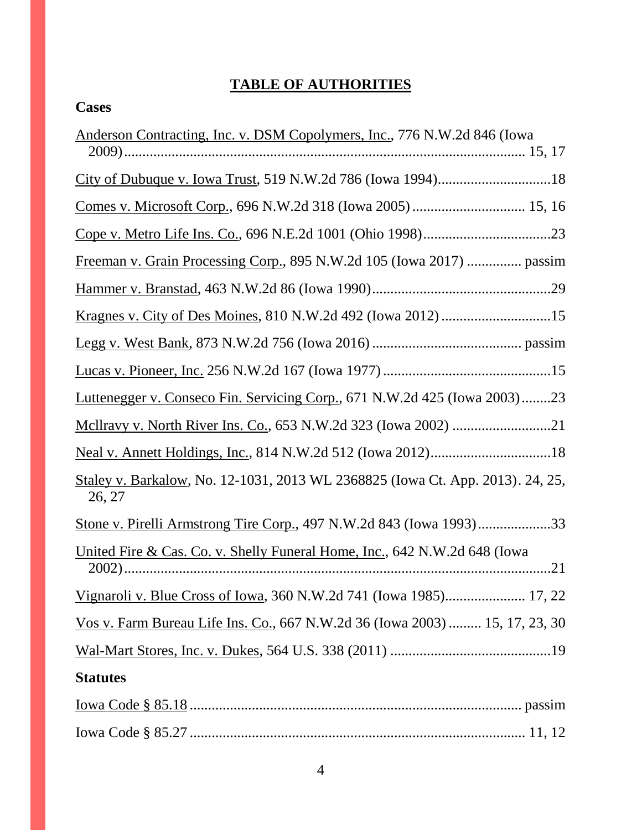# **TABLE OF AUTHORITIES**

| Anderson Contracting, Inc. v. DSM Copolymers, Inc., 776 N.W.2d 846 (Iowa                 |
|------------------------------------------------------------------------------------------|
|                                                                                          |
|                                                                                          |
|                                                                                          |
| Freeman v. Grain Processing Corp., 895 N.W.2d 105 (Iowa 2017)  passim                    |
|                                                                                          |
|                                                                                          |
|                                                                                          |
|                                                                                          |
| Luttenegger v. Conseco Fin. Servicing Corp., 671 N.W.2d 425 (Iowa 2003)23                |
|                                                                                          |
|                                                                                          |
| Staley v. Barkalow, No. 12-1031, 2013 WL 2368825 (Iowa Ct. App. 2013). 24, 25,<br>26, 27 |
| Stone v. Pirelli Armstrong Tire Corp., 497 N.W.2d 843 (Iowa 1993)33                      |
| United Fire & Cas. Co. v. Shelly Funeral Home, Inc., 642 N.W.2d 648 (Iowa                |
| Vignaroli v. Blue Cross of Iowa, 360 N.W.2d 741 (Iowa 1985) 17, 22                       |
| Vos v. Farm Bureau Life Ins. Co., 667 N.W.2d 36 (Iowa 2003)  15, 17, 23, 30              |
|                                                                                          |
| <b>Statutes</b>                                                                          |
|                                                                                          |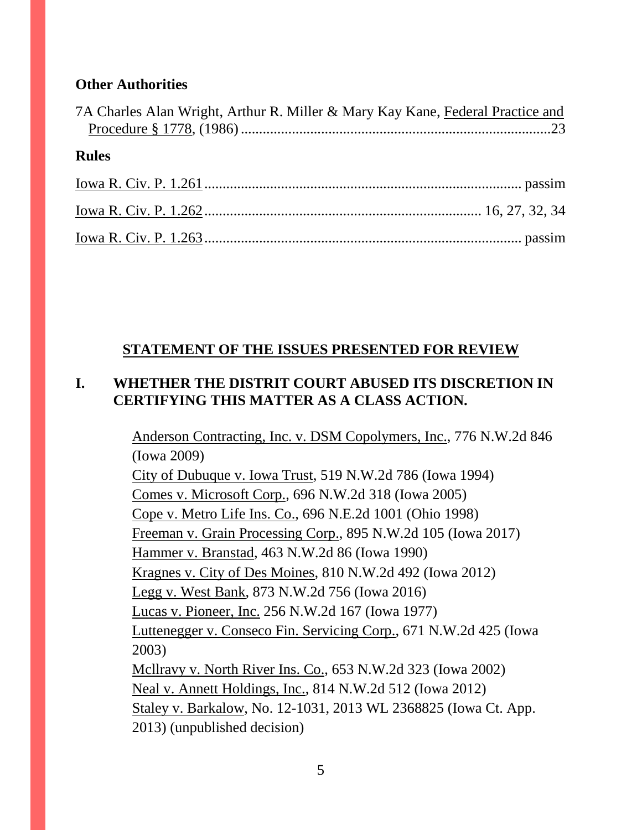### **Other Authorities**

| 7A Charles Alan Wright, Arthur R. Miller & Mary Kay Kane, Federal Practice and |  |
|--------------------------------------------------------------------------------|--|
| <b>Rules</b>                                                                   |  |
|                                                                                |  |
|                                                                                |  |
|                                                                                |  |

## **STATEMENT OF THE ISSUES PRESENTED FOR REVIEW**

## **I. WHETHER THE DISTRIT COURT ABUSED ITS DISCRETION IN CERTIFYING THIS MATTER AS A CLASS ACTION.**

Anderson Contracting, Inc. v. DSM Copolymers, Inc., 776 N.W.2d 846 (Iowa 2009)

City of Dubuque v. Iowa Trust, 519 N.W.2d 786 (Iowa 1994) Comes v. Microsoft Corp., 696 N.W.2d 318 (Iowa 2005) Cope v. Metro Life Ins. Co., 696 N.E.2d 1001 (Ohio 1998) Freeman v. Grain Processing Corp., 895 N.W.2d 105 (Iowa 2017) Hammer v. Branstad, 463 N.W.2d 86 (Iowa 1990) Kragnes v. City of Des Moines, 810 N.W.2d 492 (Iowa 2012) Legg v. West Bank, 873 N.W.2d 756 (Iowa 2016) Lucas v. Pioneer, Inc. 256 N.W.2d 167 (Iowa 1977) Luttenegger v. Conseco Fin. Servicing Corp., 671 N.W.2d 425 (Iowa 2003) Mcllravy v. North River Ins. Co., 653 N.W.2d 323 (Iowa 2002) Neal v. Annett Holdings, Inc., 814 N.W.2d 512 (Iowa 2012) Staley v. Barkalow, No. 12-1031, 2013 WL 2368825 (Iowa Ct. App. 2013) (unpublished decision)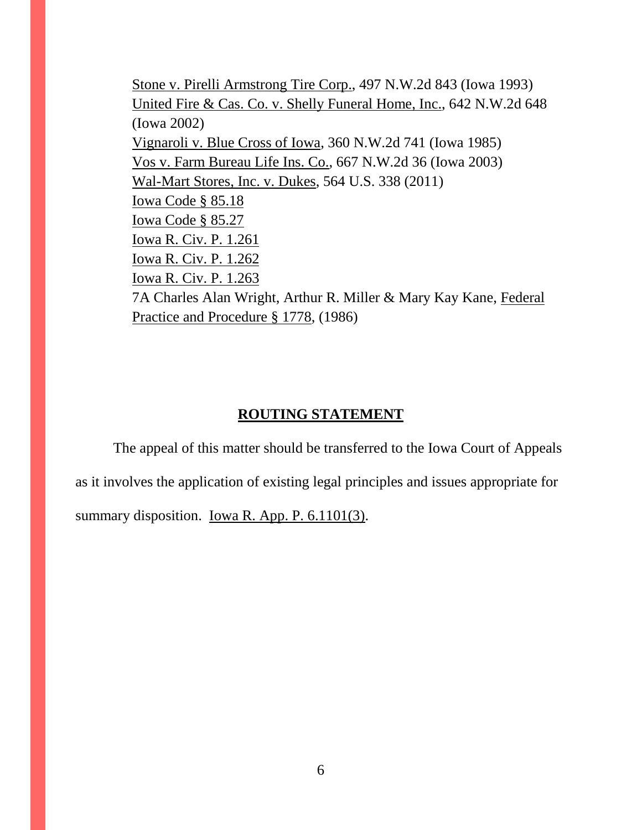Stone v. Pirelli Armstrong Tire Corp., 497 N.W.2d 843 (Iowa 1993) United Fire & Cas. Co. v. Shelly Funeral Home, Inc., 642 N.W.2d 648 (Iowa 2002) Vignaroli v. Blue Cross of Iowa, 360 N.W.2d 741 (Iowa 1985) Vos v. Farm Bureau Life Ins. Co., 667 N.W.2d 36 (Iowa 2003) Wal-Mart Stores, Inc. v. Dukes, 564 U.S. 338 (2011) Iowa Code § 85.18 Iowa Code § 85.27 Iowa R. Civ. P. 1.261 Iowa R. Civ. P. 1.262 Iowa R. Civ. P. 1.263 7A Charles Alan Wright, Arthur R. Miller & Mary Kay Kane, Federal Practice and Procedure § 1778, (1986)

#### **ROUTING STATEMENT**

The appeal of this matter should be transferred to the Iowa Court of Appeals as it involves the application of existing legal principles and issues appropriate for summary disposition. <u>Iowa R. App. P. 6.1101(3)</u>.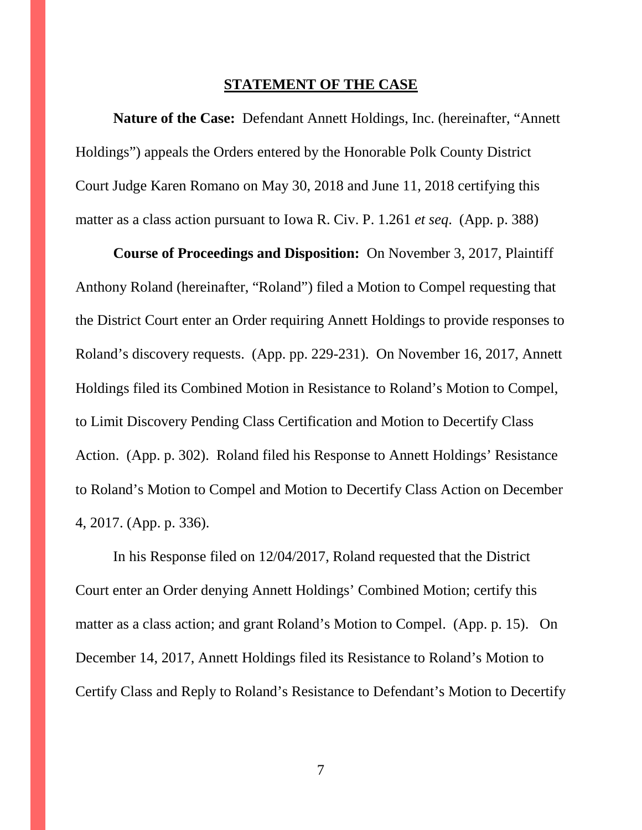#### **STATEMENT OF THE CASE**

**Nature of the Case:** Defendant Annett Holdings, Inc. (hereinafter, "Annett Holdings") appeals the Orders entered by the Honorable Polk County District Court Judge Karen Romano on May 30, 2018 and June 11, 2018 certifying this matter as a class action pursuant to Iowa R. Civ. P. 1.261 *et seq*. (App. p. 388)

**Course of Proceedings and Disposition:** On November 3, 2017, Plaintiff Anthony Roland (hereinafter, "Roland") filed a Motion to Compel requesting that the District Court enter an Order requiring Annett Holdings to provide responses to Roland's discovery requests. (App. pp. 229-231). On November 16, 2017, Annett Holdings filed its Combined Motion in Resistance to Roland's Motion to Compel, to Limit Discovery Pending Class Certification and Motion to Decertify Class Action. (App. p. 302). Roland filed his Response to Annett Holdings' Resistance to Roland's Motion to Compel and Motion to Decertify Class Action on December 4, 2017. (App. p. 336).

In his Response filed on 12/04/2017, Roland requested that the District Court enter an Order denying Annett Holdings' Combined Motion; certify this matter as a class action; and grant Roland's Motion to Compel. (App. p. 15). On December 14, 2017, Annett Holdings filed its Resistance to Roland's Motion to Certify Class and Reply to Roland's Resistance to Defendant's Motion to Decertify

7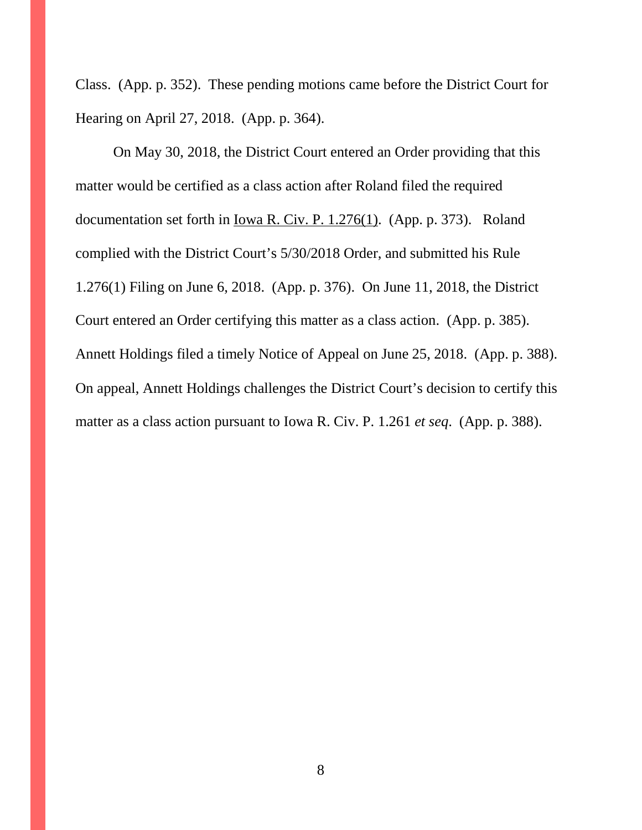Class. (App. p. 352). These pending motions came before the District Court for Hearing on April 27, 2018. (App. p. 364).

On May 30, 2018, the District Court entered an Order providing that this matter would be certified as a class action after Roland filed the required documentation set forth in Iowa R. Civ. P. 1.276(1). (App. p. 373). Roland complied with the District Court's 5/30/2018 Order, and submitted his Rule 1.276(1) Filing on June 6, 2018. (App. p. 376). On June 11, 2018, the District Court entered an Order certifying this matter as a class action. (App. p. 385). Annett Holdings filed a timely Notice of Appeal on June 25, 2018. (App. p. 388). On appeal, Annett Holdings challenges the District Court's decision to certify this matter as a class action pursuant to Iowa R. Civ. P. 1.261 *et seq*. (App. p. 388).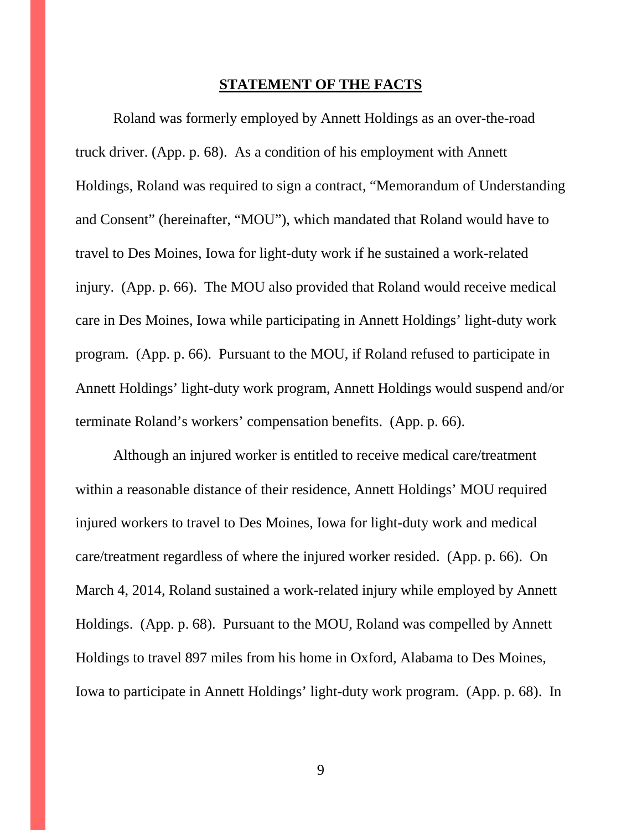#### **STATEMENT OF THE FACTS**

Roland was formerly employed by Annett Holdings as an over-the-road truck driver. (App. p. 68). As a condition of his employment with Annett Holdings, Roland was required to sign a contract, "Memorandum of Understanding and Consent" (hereinafter, "MOU"), which mandated that Roland would have to travel to Des Moines, Iowa for light-duty work if he sustained a work-related injury. (App. p. 66). The MOU also provided that Roland would receive medical care in Des Moines, Iowa while participating in Annett Holdings' light-duty work program. (App. p. 66). Pursuant to the MOU, if Roland refused to participate in Annett Holdings' light-duty work program, Annett Holdings would suspend and/or terminate Roland's workers' compensation benefits. (App. p. 66).

Although an injured worker is entitled to receive medical care/treatment within a reasonable distance of their residence, Annett Holdings' MOU required injured workers to travel to Des Moines, Iowa for light-duty work and medical care/treatment regardless of where the injured worker resided. (App. p. 66). On March 4, 2014, Roland sustained a work-related injury while employed by Annett Holdings. (App. p. 68). Pursuant to the MOU, Roland was compelled by Annett Holdings to travel 897 miles from his home in Oxford, Alabama to Des Moines, Iowa to participate in Annett Holdings' light-duty work program. (App. p. 68). In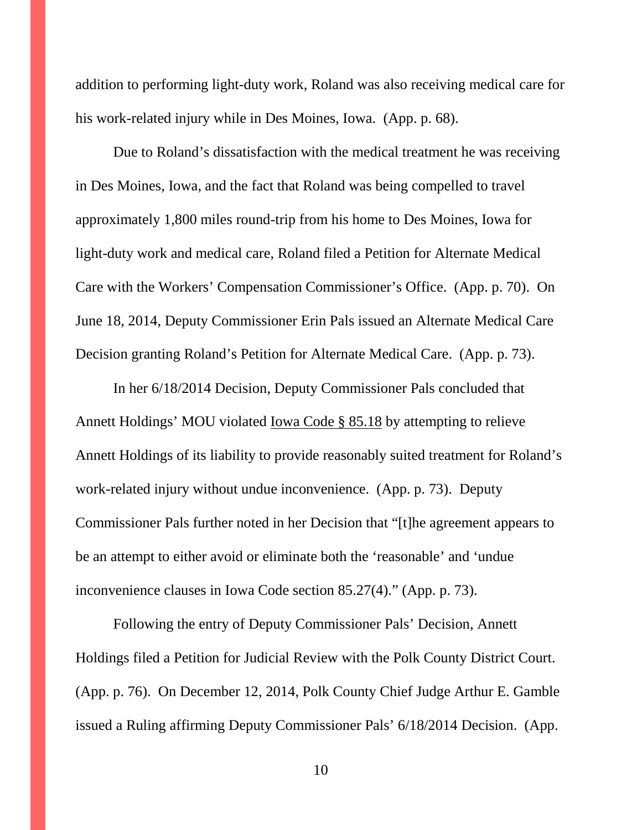addition to performing light-duty work, Roland was also receiving medical care for his work-related injury while in Des Moines, Iowa. (App. p. 68).

Due to Roland's dissatisfaction with the medical treatment he was receiving in Des Moines, Iowa, and the fact that Roland was being compelled to travel approximately 1,800 miles round-trip from his home to Des Moines, Iowa for light-duty work and medical care, Roland filed a Petition for Alternate Medical Care with the Workers' Compensation Commissioner's Office. (App. p. 70). On June 18, 2014, Deputy Commissioner Erin Pals issued an Alternate Medical Care Decision granting Roland's Petition for Alternate Medical Care. (App. p. 73).

In her 6/18/2014 Decision, Deputy Commissioner Pals concluded that Annett Holdings' MOU violated Iowa Code § 85.18 by attempting to relieve Annett Holdings of its liability to provide reasonably suited treatment for Roland's work-related injury without undue inconvenience. (App. p. 73). Deputy Commissioner Pals further noted in her Decision that "[t]he agreement appears to be an attempt to either avoid or eliminate both the 'reasonable' and 'undue inconvenience clauses in Iowa Code section 85.27(4)." (App. p. 73).

Following the entry of Deputy Commissioner Pals' Decision, Annett Holdings filed a Petition for Judicial Review with the Polk County District Court. (App. p. 76). On December 12, 2014, Polk County Chief Judge Arthur E. Gamble issued a Ruling affirming Deputy Commissioner Pals' 6/18/2014 Decision. (App.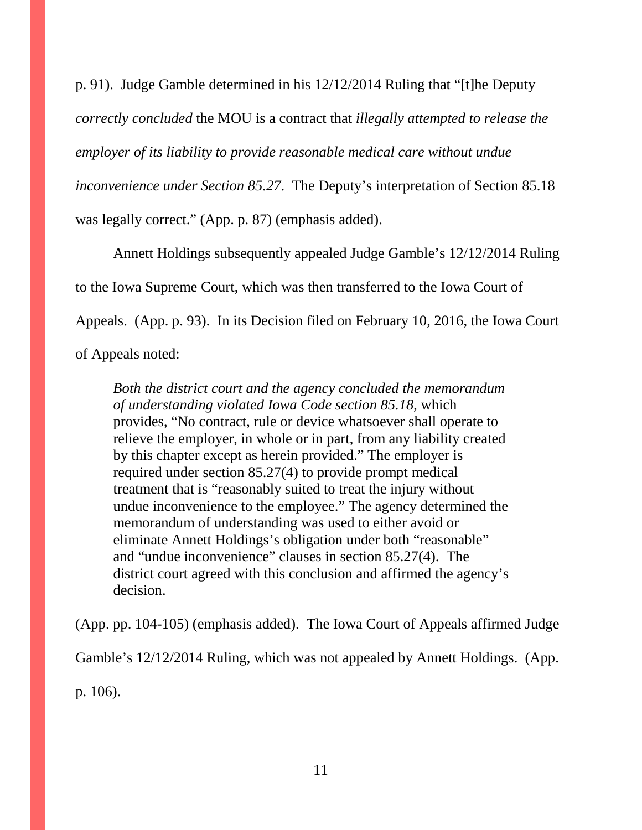p. 91). Judge Gamble determined in his 12/12/2014 Ruling that "[t]he Deputy *correctly concluded* the MOU is a contract that *illegally attempted to release the employer of its liability to provide reasonable medical care without undue inconvenience under Section 85.27*. The Deputy's interpretation of Section 85.18 was legally correct." (App. p. 87) (emphasis added).

Annett Holdings subsequently appealed Judge Gamble's 12/12/2014 Ruling to the Iowa Supreme Court, which was then transferred to the Iowa Court of Appeals. (App. p. 93). In its Decision filed on February 10, 2016, the Iowa Court of Appeals noted:

*Both the district court and the agency concluded the memorandum of understanding violated Iowa Code section 85.18*, which provides, "No contract, rule or device whatsoever shall operate to relieve the employer, in whole or in part, from any liability created by this chapter except as herein provided." The employer is required under section 85.27(4) to provide prompt medical treatment that is "reasonably suited to treat the injury without undue inconvenience to the employee." The agency determined the memorandum of understanding was used to either avoid or eliminate Annett Holdings's obligation under both "reasonable" and "undue inconvenience" clauses in section 85.27(4). The district court agreed with this conclusion and affirmed the agency's decision.

(App. pp. 104-105) (emphasis added). The Iowa Court of Appeals affirmed Judge

Gamble's 12/12/2014 Ruling, which was not appealed by Annett Holdings. (App.

p. 106).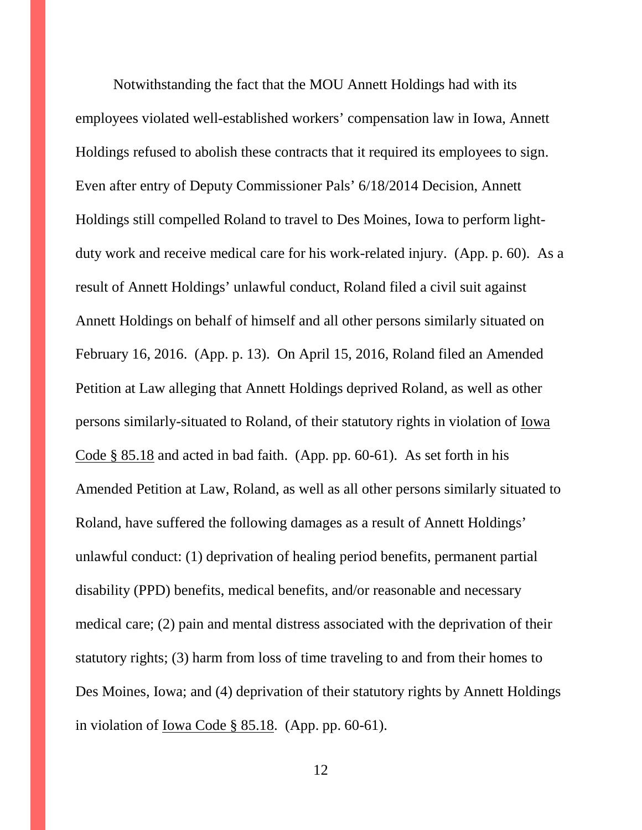Notwithstanding the fact that the MOU Annett Holdings had with its employees violated well-established workers' compensation law in Iowa, Annett Holdings refused to abolish these contracts that it required its employees to sign. Even after entry of Deputy Commissioner Pals' 6/18/2014 Decision, Annett Holdings still compelled Roland to travel to Des Moines, Iowa to perform lightduty work and receive medical care for his work-related injury. (App. p. 60). As a result of Annett Holdings' unlawful conduct, Roland filed a civil suit against Annett Holdings on behalf of himself and all other persons similarly situated on February 16, 2016. (App. p. 13). On April 15, 2016, Roland filed an Amended Petition at Law alleging that Annett Holdings deprived Roland, as well as other persons similarly-situated to Roland, of their statutory rights in violation of Iowa Code § 85.18 and acted in bad faith. (App. pp. 60-61). As set forth in his Amended Petition at Law, Roland, as well as all other persons similarly situated to Roland, have suffered the following damages as a result of Annett Holdings' unlawful conduct: (1) deprivation of healing period benefits, permanent partial disability (PPD) benefits, medical benefits, and/or reasonable and necessary medical care; (2) pain and mental distress associated with the deprivation of their statutory rights; (3) harm from loss of time traveling to and from their homes to Des Moines, Iowa; and (4) deprivation of their statutory rights by Annett Holdings in violation of Iowa Code § 85.18. (App. pp. 60-61).

12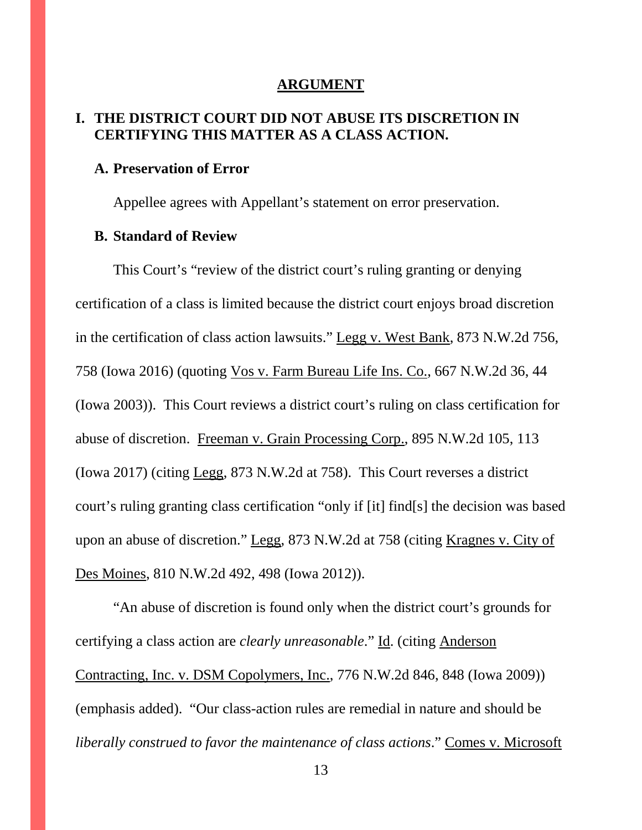#### **ARGUMENT**

### **I. THE DISTRICT COURT DID NOT ABUSE ITS DISCRETION IN CERTIFYING THIS MATTER AS A CLASS ACTION.**

#### **A. Preservation of Error**

Appellee agrees with Appellant's statement on error preservation.

#### **B. Standard of Review**

This Court's "review of the district court's ruling granting or denying certification of a class is limited because the district court enjoys broad discretion in the certification of class action lawsuits." Legg v. West Bank, 873 N.W.2d 756, 758 (Iowa 2016) (quoting Vos v. Farm Bureau Life Ins. Co., 667 N.W.2d 36, 44 (Iowa 2003)). This Court reviews a district court's ruling on class certification for abuse of discretion. Freeman v. Grain Processing Corp., 895 N.W.2d 105, 113 (Iowa 2017) (citing Legg, 873 N.W.2d at 758). This Court reverses a district court's ruling granting class certification "only if [it] find[s] the decision was based upon an abuse of discretion." Legg, 873 N.W.2d at 758 (citing Kragnes v. City of Des Moines, 810 N.W.2d 492, 498 (Iowa 2012)).

"An abuse of discretion is found only when the district court's grounds for certifying a class action are *clearly unreasonable*." Id. (citing Anderson Contracting, Inc. v. DSM Copolymers, Inc., 776 N.W.2d 846, 848 (Iowa 2009)) (emphasis added). "Our class-action rules are remedial in nature and should be *liberally construed to favor the maintenance of class actions*." Comes v. Microsoft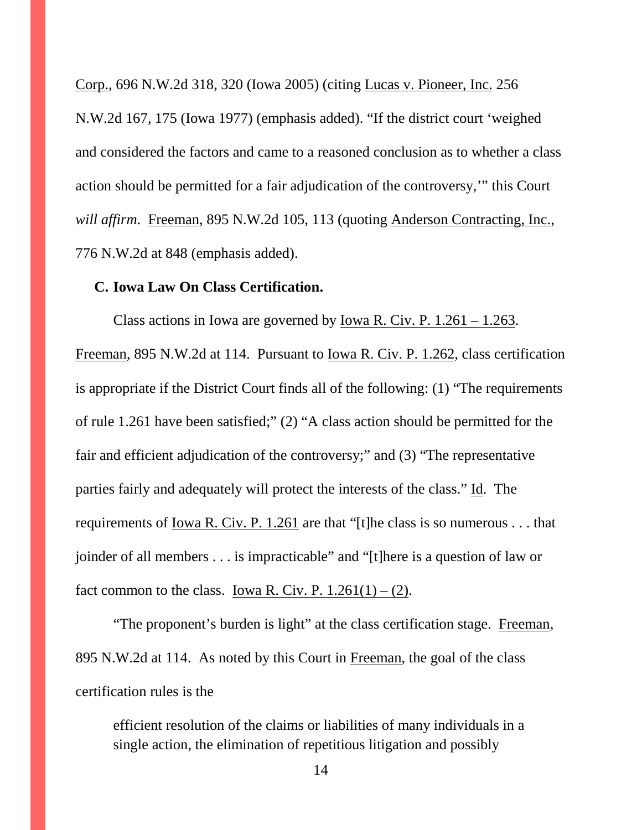Corp., 696 N.W.2d 318, 320 (Iowa 2005) (citing Lucas v. Pioneer, Inc. 256 N.W.2d 167, 175 (Iowa 1977) (emphasis added). "If the district court 'weighed and considered the factors and came to a reasoned conclusion as to whether a class action should be permitted for a fair adjudication of the controversy,'" this Court *will affirm*. Freeman, 895 N.W.2d 105, 113 (quoting Anderson Contracting, Inc., 776 N.W.2d at 848 (emphasis added).

#### **C. Iowa Law On Class Certification.**

Class actions in Iowa are governed by Iowa R. Civ. P.  $1.261 - 1.263$ . Freeman, 895 N.W.2d at 114. Pursuant to Iowa R. Civ. P. 1.262, class certification is appropriate if the District Court finds all of the following: (1) "The requirements of rule 1.261 have been satisfied;" (2) "A class action should be permitted for the fair and efficient adjudication of the controversy;" and (3) "The representative parties fairly and adequately will protect the interests of the class." Id. The requirements of <u>Iowa R. Civ. P. 1.261</u> are that "[t]he class is so numerous . . . that joinder of all members . . . is impracticable" and "[t]here is a question of law or fact common to the class. Iowa R. Civ. P.  $1.261(1) - (2)$ .

"The proponent's burden is light" at the class certification stage. Freeman, 895 N.W.2d at 114. As noted by this Court in Freeman, the goal of the class certification rules is the

efficient resolution of the claims or liabilities of many individuals in a single action, the elimination of repetitious litigation and possibly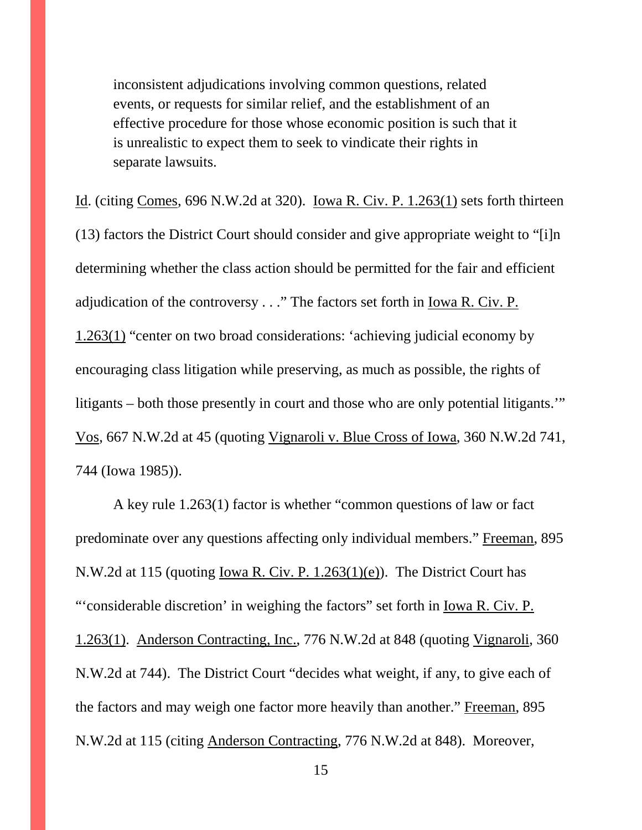inconsistent adjudications involving common questions, related events, or requests for similar relief, and the establishment of an effective procedure for those whose economic position is such that it is unrealistic to expect them to seek to vindicate their rights in separate lawsuits.

Id. (citing Comes, 696 N.W.2d at 320). Iowa R. Civ. P. 1.263(1) sets forth thirteen (13) factors the District Court should consider and give appropriate weight to "[i]n determining whether the class action should be permitted for the fair and efficient adjudication of the controversy . . ." The factors set forth in Iowa R. Civ. P. 1.263(1) "center on two broad considerations: 'achieving judicial economy by encouraging class litigation while preserving, as much as possible, the rights of litigants – both those presently in court and those who are only potential litigants.'" Vos, 667 N.W.2d at 45 (quoting Vignaroli v. Blue Cross of Iowa, 360 N.W.2d 741, 744 (Iowa 1985)).

A key rule 1.263(1) factor is whether "common questions of law or fact predominate over any questions affecting only individual members." Freeman, 895 N.W.2d at 115 (quoting Iowa R. Civ. P. 1.263(1)(e)). The District Court has "'considerable discretion' in weighing the factors" set forth in <u>Iowa R. Civ. P.</u> 1.263(1). Anderson Contracting, Inc., 776 N.W.2d at 848 (quoting Vignaroli, 360 N.W.2d at 744). The District Court "decides what weight, if any, to give each of the factors and may weigh one factor more heavily than another." Freeman, 895 N.W.2d at 115 (citing Anderson Contracting, 776 N.W.2d at 848). Moreover,

15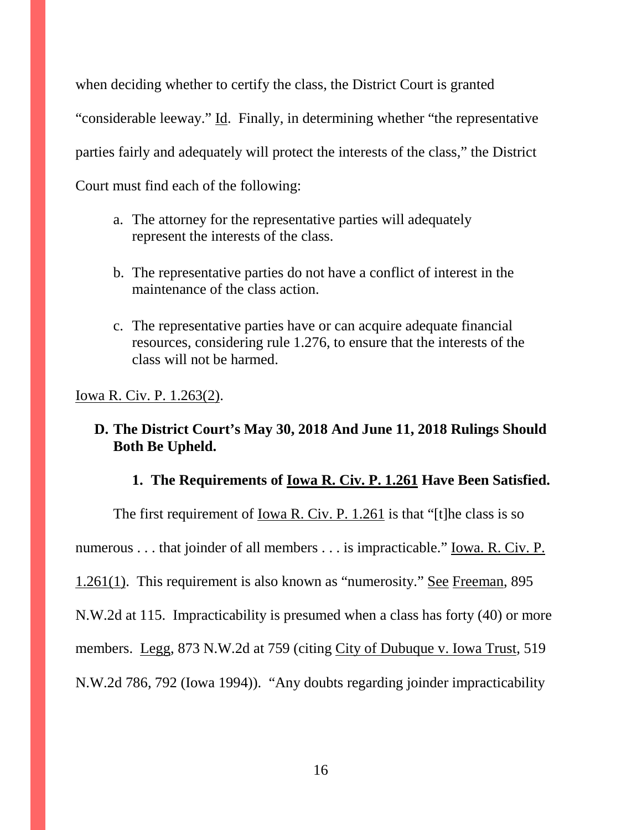when deciding whether to certify the class, the District Court is granted "considerable leeway." Id. Finally, in determining whether "the representative parties fairly and adequately will protect the interests of the class," the District Court must find each of the following:

- a. The attorney for the representative parties will adequately represent the interests of the class.
- b. The representative parties do not have a conflict of interest in the maintenance of the class action.
- c. The representative parties have or can acquire adequate financial resources, considering rule 1.276, to ensure that the interests of the class will not be harmed.

Iowa R. Civ. P. 1.263(2).

### **D. The District Court's May 30, 2018 And June 11, 2018 Rulings Should Both Be Upheld.**

### **1. The Requirements of Iowa R. Civ. P. 1.261 Have Been Satisfied.**

The first requirement of <u>Iowa R. Civ. P. 1.261</u> is that "[t]he class is so numerous . . . that joinder of all members . . . is impracticable." Iowa. R. Civ. P. 1.261(1). This requirement is also known as "numerosity." See Freeman, 895 N.W.2d at 115. Impracticability is presumed when a class has forty (40) or more members. Legg, 873 N.W.2d at 759 (citing City of Dubuque v. Iowa Trust, 519 N.W.2d 786, 792 (Iowa 1994)). "Any doubts regarding joinder impracticability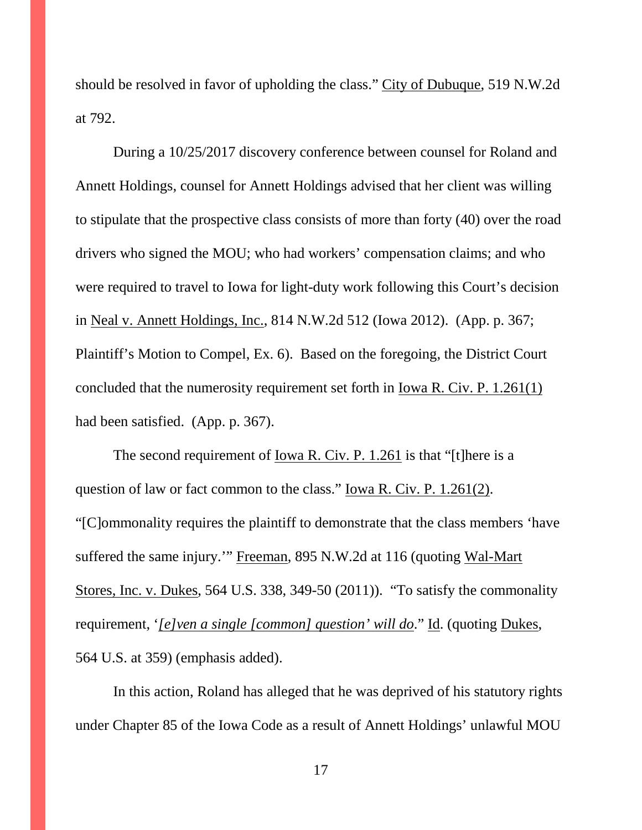should be resolved in favor of upholding the class." City of Dubuque, 519 N.W.2d at 792.

During a 10/25/2017 discovery conference between counsel for Roland and Annett Holdings, counsel for Annett Holdings advised that her client was willing to stipulate that the prospective class consists of more than forty (40) over the road drivers who signed the MOU; who had workers' compensation claims; and who were required to travel to Iowa for light-duty work following this Court's decision in Neal v. Annett Holdings, Inc., 814 N.W.2d 512 (Iowa 2012). (App. p. 367; Plaintiff's Motion to Compel, Ex. 6). Based on the foregoing, the District Court concluded that the numerosity requirement set forth in Iowa R. Civ. P. 1.261(1) had been satisfied. (App. p. 367).

The second requirement of <u>Iowa R. Civ. P. 1.261</u> is that "[t]here is a question of law or fact common to the class." Iowa R. Civ. P. 1.261(2). "[C]ommonality requires the plaintiff to demonstrate that the class members 'have suffered the same injury.'" Freeman, 895 N.W.2d at 116 (quoting Wal-Mart Stores, Inc. v. Dukes, 564 U.S. 338, 349-50 (2011)). "To satisfy the commonality requirement, '*[e]ven a single [common] question' will do*." Id. (quoting Dukes, 564 U.S. at 359) (emphasis added).

In this action, Roland has alleged that he was deprived of his statutory rights under Chapter 85 of the Iowa Code as a result of Annett Holdings' unlawful MOU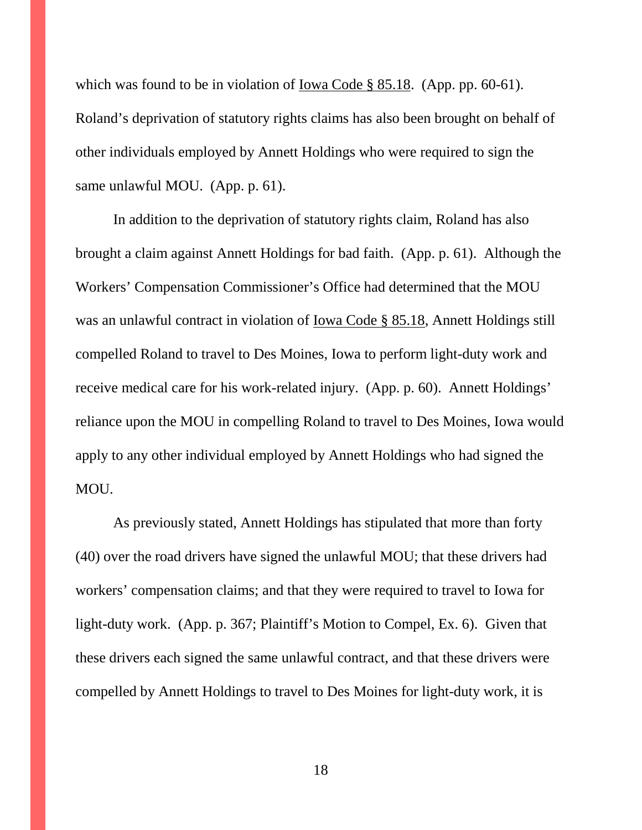which was found to be in violation of Iowa Code § 85.18. (App. pp. 60-61). Roland's deprivation of statutory rights claims has also been brought on behalf of other individuals employed by Annett Holdings who were required to sign the same unlawful MOU. (App. p. 61).

In addition to the deprivation of statutory rights claim, Roland has also brought a claim against Annett Holdings for bad faith. (App. p. 61). Although the Workers' Compensation Commissioner's Office had determined that the MOU was an unlawful contract in violation of Iowa Code § 85.18, Annett Holdings still compelled Roland to travel to Des Moines, Iowa to perform light-duty work and receive medical care for his work-related injury. (App. p. 60). Annett Holdings' reliance upon the MOU in compelling Roland to travel to Des Moines, Iowa would apply to any other individual employed by Annett Holdings who had signed the MOU.

As previously stated, Annett Holdings has stipulated that more than forty (40) over the road drivers have signed the unlawful MOU; that these drivers had workers' compensation claims; and that they were required to travel to Iowa for light-duty work. (App. p. 367; Plaintiff's Motion to Compel, Ex. 6). Given that these drivers each signed the same unlawful contract, and that these drivers were compelled by Annett Holdings to travel to Des Moines for light-duty work, it is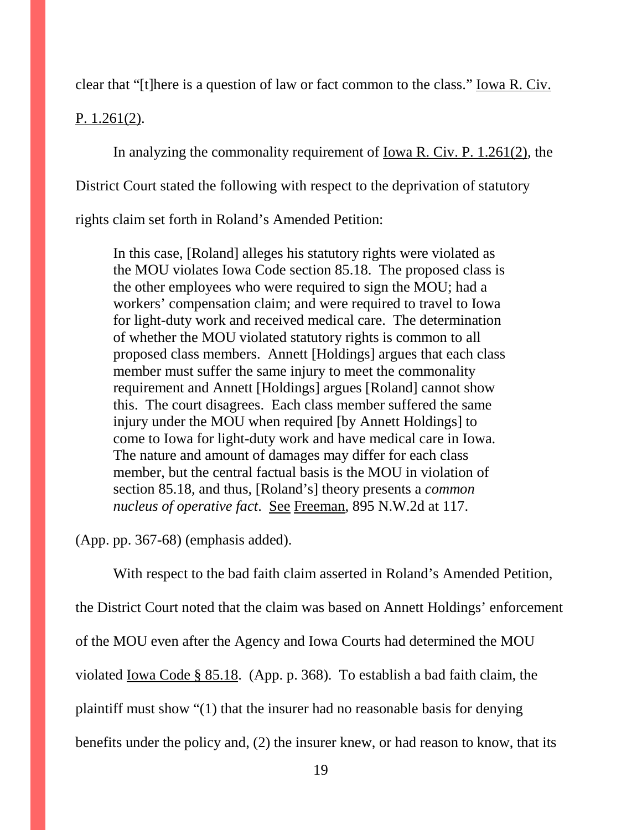clear that "[t]here is a question of law or fact common to the class." Iowa R. Civ.

P. 1.261(2).

In analyzing the commonality requirement of Iowa R. Civ. P. 1.261(2), the

District Court stated the following with respect to the deprivation of statutory

rights claim set forth in Roland's Amended Petition:

In this case, [Roland] alleges his statutory rights were violated as the MOU violates Iowa Code section 85.18. The proposed class is the other employees who were required to sign the MOU; had a workers' compensation claim; and were required to travel to Iowa for light-duty work and received medical care. The determination of whether the MOU violated statutory rights is common to all proposed class members. Annett [Holdings] argues that each class member must suffer the same injury to meet the commonality requirement and Annett [Holdings] argues [Roland] cannot show this. The court disagrees. Each class member suffered the same injury under the MOU when required [by Annett Holdings] to come to Iowa for light-duty work and have medical care in Iowa. The nature and amount of damages may differ for each class member, but the central factual basis is the MOU in violation of section 85.18, and thus, [Roland's] theory presents a *common nucleus of operative fact*. See Freeman, 895 N.W.2d at 117.

(App. pp. 367-68) (emphasis added).

With respect to the bad faith claim asserted in Roland's Amended Petition,

the District Court noted that the claim was based on Annett Holdings' enforcement

of the MOU even after the Agency and Iowa Courts had determined the MOU

violated Iowa Code § 85.18. (App. p. 368). To establish a bad faith claim, the

plaintiff must show "(1) that the insurer had no reasonable basis for denying

benefits under the policy and, (2) the insurer knew, or had reason to know, that its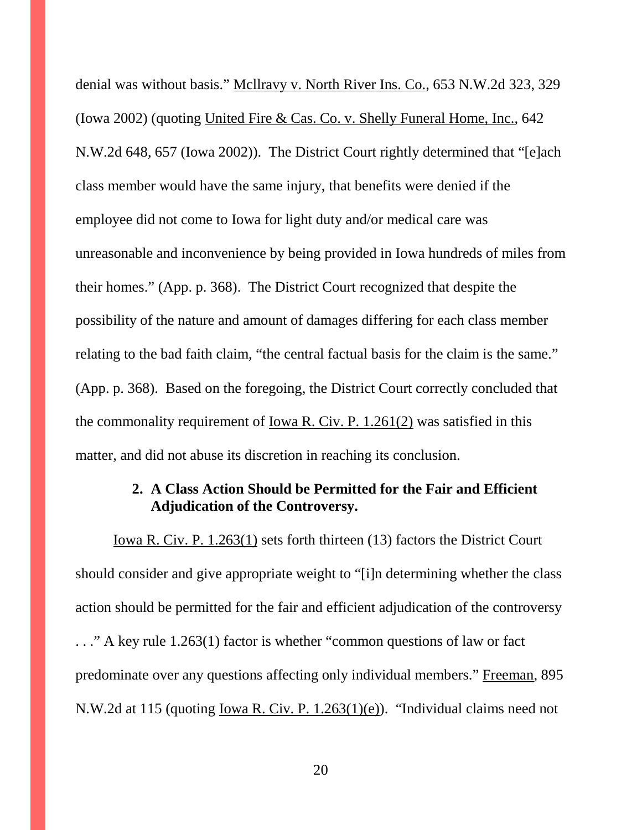denial was without basis." Mcllravy v. North River Ins. Co., 653 N.W.2d 323, 329 (Iowa 2002) (quoting United Fire & Cas. Co. v. Shelly Funeral Home, Inc., 642 N.W.2d 648, 657 (Iowa 2002)). The District Court rightly determined that "[e]ach class member would have the same injury, that benefits were denied if the employee did not come to Iowa for light duty and/or medical care was unreasonable and inconvenience by being provided in Iowa hundreds of miles from their homes." (App. p. 368). The District Court recognized that despite the possibility of the nature and amount of damages differing for each class member relating to the bad faith claim, "the central factual basis for the claim is the same." (App. p. 368). Based on the foregoing, the District Court correctly concluded that the commonality requirement of Iowa R. Civ. P. 1.261(2) was satisfied in this matter, and did not abuse its discretion in reaching its conclusion.

### **2. A Class Action Should be Permitted for the Fair and Efficient Adjudication of the Controversy.**

Iowa R. Civ. P. 1.263(1) sets forth thirteen (13) factors the District Court should consider and give appropriate weight to "[i]n determining whether the class action should be permitted for the fair and efficient adjudication of the controversy . . ." A key rule 1.263(1) factor is whether "common questions of law or fact predominate over any questions affecting only individual members." Freeman, 895 N.W.2d at 115 (quoting Iowa R. Civ. P. 1.263(1)(e)). "Individual claims need not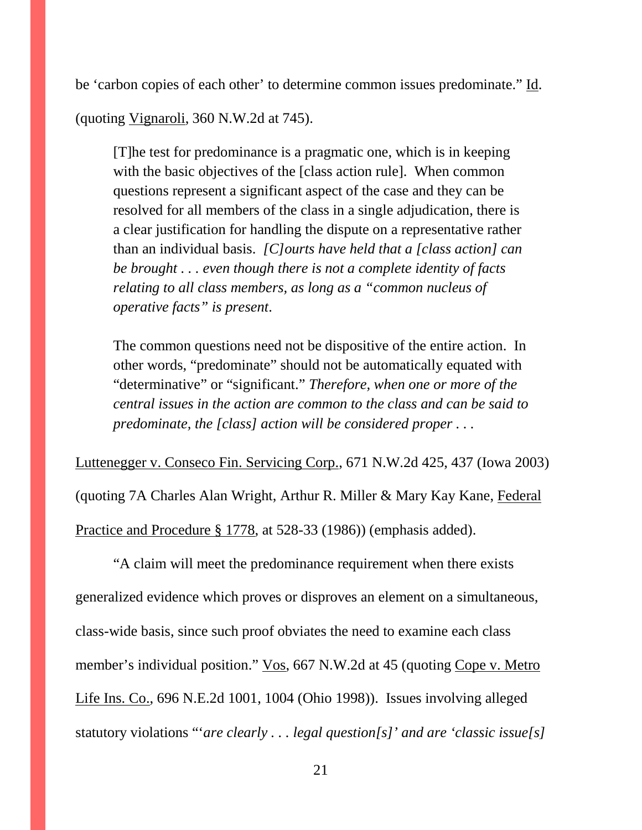be 'carbon copies of each other' to determine common issues predominate." Id.

(quoting Vignaroli, 360 N.W.2d at 745).

[T]he test for predominance is a pragmatic one, which is in keeping with the basic objectives of the [class action rule]. When common questions represent a significant aspect of the case and they can be resolved for all members of the class in a single adjudication, there is a clear justification for handling the dispute on a representative rather than an individual basis. *[C]ourts have held that a [class action] can be brought . . . even though there is not a complete identity of facts relating to all class members, as long as a "common nucleus of operative facts" is present*.

The common questions need not be dispositive of the entire action. In other words, "predominate" should not be automatically equated with "determinative" or "significant." *Therefore, when one or more of the central issues in the action are common to the class and can be said to predominate, the [class] action will be considered proper . . .*

Luttenegger v. Conseco Fin. Servicing Corp., 671 N.W.2d 425, 437 (Iowa 2003) (quoting 7A Charles Alan Wright, Arthur R. Miller & Mary Kay Kane, Federal Practice and Procedure § 1778, at 528-33 (1986)) (emphasis added).

"A claim will meet the predominance requirement when there exists generalized evidence which proves or disproves an element on a simultaneous, class-wide basis, since such proof obviates the need to examine each class member's individual position." Vos, 667 N.W.2d at 45 (quoting Cope v. Metro Life Ins. Co., 696 N.E.2d 1001, 1004 (Ohio 1998)). Issues involving alleged statutory violations "'*are clearly . . . legal question[s]' and are 'classic issue[s]*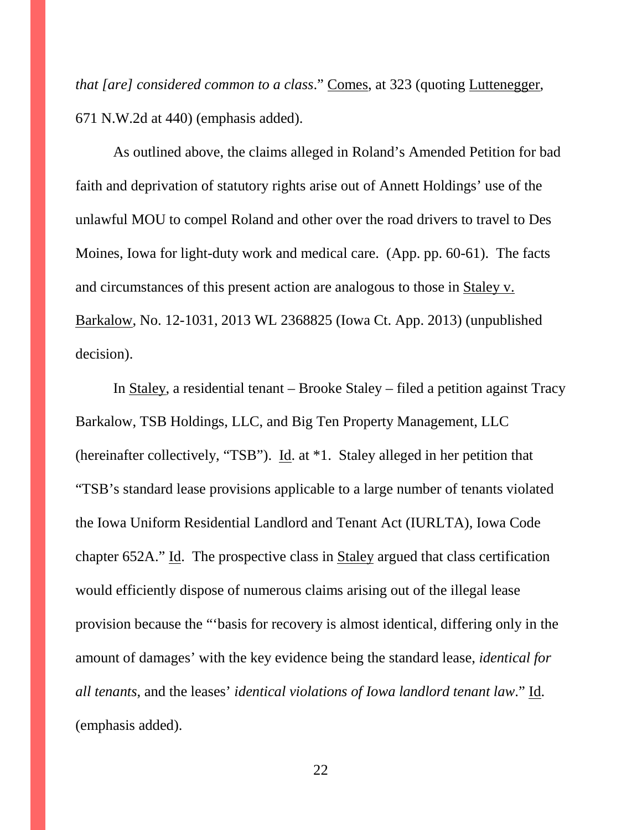*that [are] considered common to a class*." Comes, at 323 (quoting Luttenegger, 671 N.W.2d at 440) (emphasis added).

As outlined above, the claims alleged in Roland's Amended Petition for bad faith and deprivation of statutory rights arise out of Annett Holdings' use of the unlawful MOU to compel Roland and other over the road drivers to travel to Des Moines, Iowa for light-duty work and medical care. (App. pp. 60-61). The facts and circumstances of this present action are analogous to those in Staley v. Barkalow, No. 12-1031, 2013 WL 2368825 (Iowa Ct. App. 2013) (unpublished decision).

In Staley, a residential tenant – Brooke Staley – filed a petition against Tracy Barkalow, TSB Holdings, LLC, and Big Ten Property Management, LLC (hereinafter collectively, "TSB"). Id. at \*1. Staley alleged in her petition that "TSB's standard lease provisions applicable to a large number of tenants violated the Iowa Uniform Residential Landlord and Tenant Act (IURLTA), Iowa Code chapter 652A." Id. The prospective class in Staley argued that class certification would efficiently dispose of numerous claims arising out of the illegal lease provision because the "'basis for recovery is almost identical, differing only in the amount of damages' with the key evidence being the standard lease, *identical for all tenants*, and the leases' *identical violations of Iowa landlord tenant law*." Id. (emphasis added).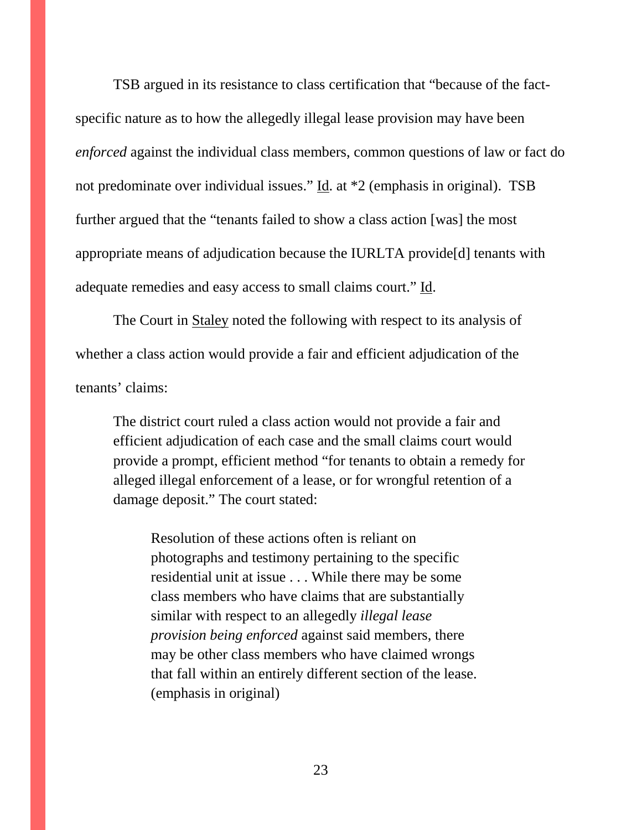TSB argued in its resistance to class certification that "because of the factspecific nature as to how the allegedly illegal lease provision may have been *enforced* against the individual class members, common questions of law or fact do not predominate over individual issues." Id. at \*2 (emphasis in original). TSB further argued that the "tenants failed to show a class action [was] the most appropriate means of adjudication because the IURLTA provide[d] tenants with adequate remedies and easy access to small claims court." Id.

The Court in Staley noted the following with respect to its analysis of whether a class action would provide a fair and efficient adjudication of the tenants' claims:

The district court ruled a class action would not provide a fair and efficient adjudication of each case and the small claims court would provide a prompt, efficient method "for tenants to obtain a remedy for alleged illegal enforcement of a lease, or for wrongful retention of a damage deposit." The court stated:

Resolution of these actions often is reliant on photographs and testimony pertaining to the specific residential unit at issue . . . While there may be some class members who have claims that are substantially similar with respect to an allegedly *illegal lease provision being enforced* against said members, there may be other class members who have claimed wrongs that fall within an entirely different section of the lease. (emphasis in original)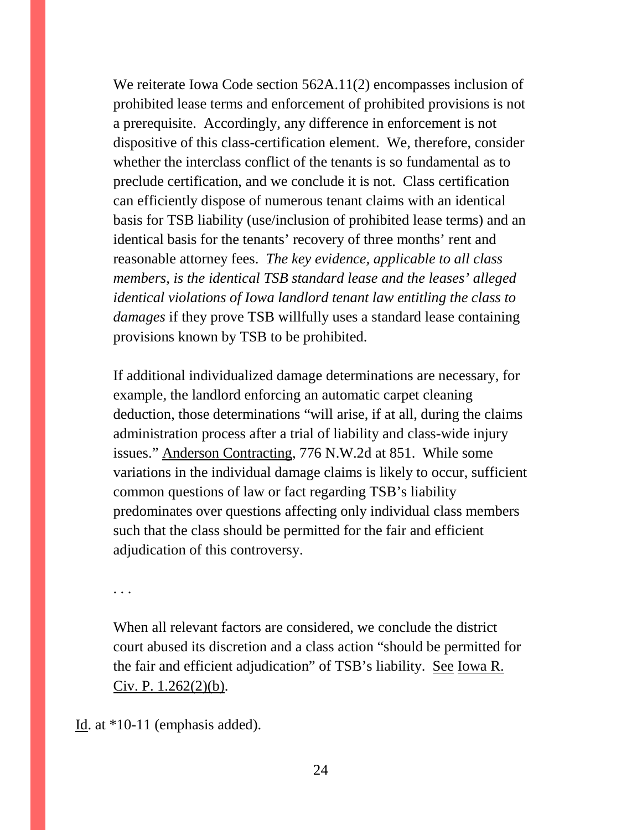We reiterate Iowa Code section 562A.11(2) encompasses inclusion of prohibited lease terms and enforcement of prohibited provisions is not a prerequisite. Accordingly, any difference in enforcement is not dispositive of this class-certification element. We, therefore, consider whether the interclass conflict of the tenants is so fundamental as to preclude certification, and we conclude it is not. Class certification can efficiently dispose of numerous tenant claims with an identical basis for TSB liability (use/inclusion of prohibited lease terms) and an identical basis for the tenants' recovery of three months' rent and reasonable attorney fees. *The key evidence, applicable to all class members, is the identical TSB standard lease and the leases' alleged identical violations of Iowa landlord tenant law entitling the class to damages* if they prove TSB willfully uses a standard lease containing provisions known by TSB to be prohibited.

If additional individualized damage determinations are necessary, for example, the landlord enforcing an automatic carpet cleaning deduction, those determinations "will arise, if at all, during the claims administration process after a trial of liability and class-wide injury issues." Anderson Contracting, 776 N.W.2d at 851. While some variations in the individual damage claims is likely to occur, sufficient common questions of law or fact regarding TSB's liability predominates over questions affecting only individual class members such that the class should be permitted for the fair and efficient adjudication of this controversy.

. . .

When all relevant factors are considered, we conclude the district court abused its discretion and a class action "should be permitted for the fair and efficient adjudication" of TSB's liability. See Iowa R. Civ. P. 1.262(2)(b).

Id. at \*10-11 (emphasis added).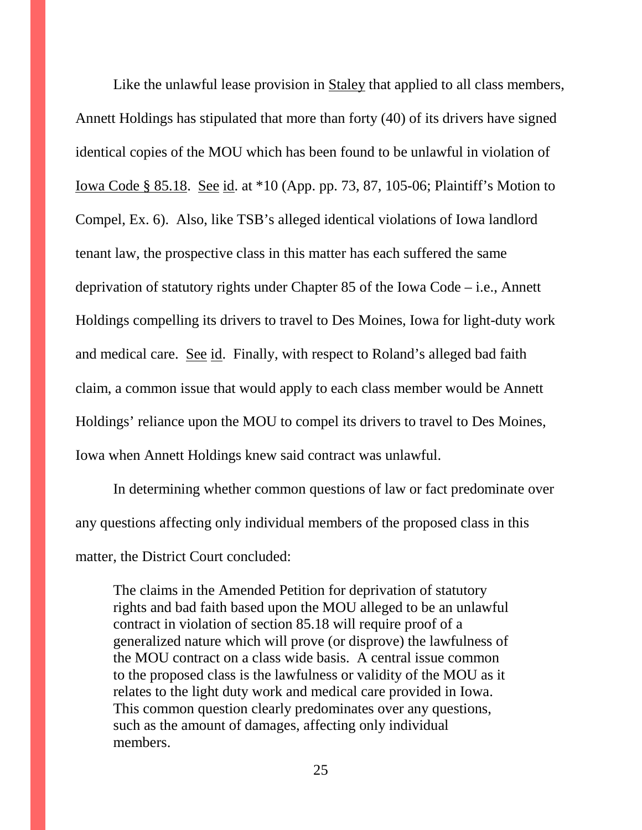Like the unlawful lease provision in Staley that applied to all class members, Annett Holdings has stipulated that more than forty (40) of its drivers have signed identical copies of the MOU which has been found to be unlawful in violation of Iowa Code § 85.18. See id. at \*10 (App. pp. 73, 87, 105-06; Plaintiff's Motion to Compel, Ex. 6). Also, like TSB's alleged identical violations of Iowa landlord tenant law, the prospective class in this matter has each suffered the same deprivation of statutory rights under Chapter 85 of the Iowa Code – i.e., Annett Holdings compelling its drivers to travel to Des Moines, Iowa for light-duty work and medical care. See id. Finally, with respect to Roland's alleged bad faith claim, a common issue that would apply to each class member would be Annett Holdings' reliance upon the MOU to compel its drivers to travel to Des Moines, Iowa when Annett Holdings knew said contract was unlawful.

In determining whether common questions of law or fact predominate over any questions affecting only individual members of the proposed class in this matter, the District Court concluded:

The claims in the Amended Petition for deprivation of statutory rights and bad faith based upon the MOU alleged to be an unlawful contract in violation of section 85.18 will require proof of a generalized nature which will prove (or disprove) the lawfulness of the MOU contract on a class wide basis. A central issue common to the proposed class is the lawfulness or validity of the MOU as it relates to the light duty work and medical care provided in Iowa. This common question clearly predominates over any questions, such as the amount of damages, affecting only individual members.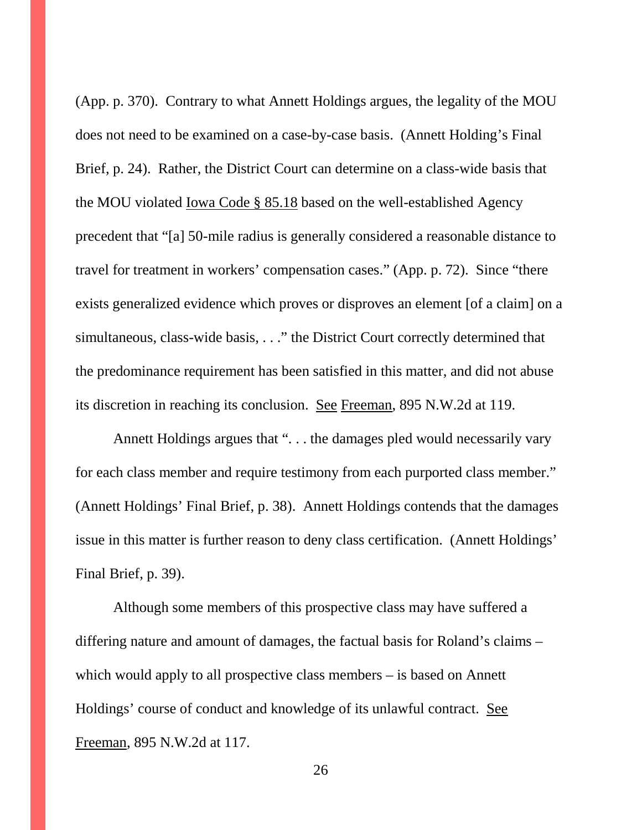(App. p. 370). Contrary to what Annett Holdings argues, the legality of the MOU does not need to be examined on a case-by-case basis. (Annett Holding's Final Brief, p. 24). Rather, the District Court can determine on a class-wide basis that the MOU violated Iowa Code § 85.18 based on the well-established Agency precedent that "[a] 50-mile radius is generally considered a reasonable distance to travel for treatment in workers' compensation cases." (App. p. 72). Since "there exists generalized evidence which proves or disproves an element [of a claim] on a simultaneous, class-wide basis, . . ." the District Court correctly determined that the predominance requirement has been satisfied in this matter, and did not abuse its discretion in reaching its conclusion. See Freeman, 895 N.W.2d at 119.

Annett Holdings argues that "... the damages pled would necessarily vary for each class member and require testimony from each purported class member." (Annett Holdings' Final Brief, p. 38). Annett Holdings contends that the damages issue in this matter is further reason to deny class certification. (Annett Holdings' Final Brief, p. 39).

Although some members of this prospective class may have suffered a differing nature and amount of damages, the factual basis for Roland's claims – which would apply to all prospective class members – is based on Annett Holdings' course of conduct and knowledge of its unlawful contract. See Freeman, 895 N.W.2d at 117.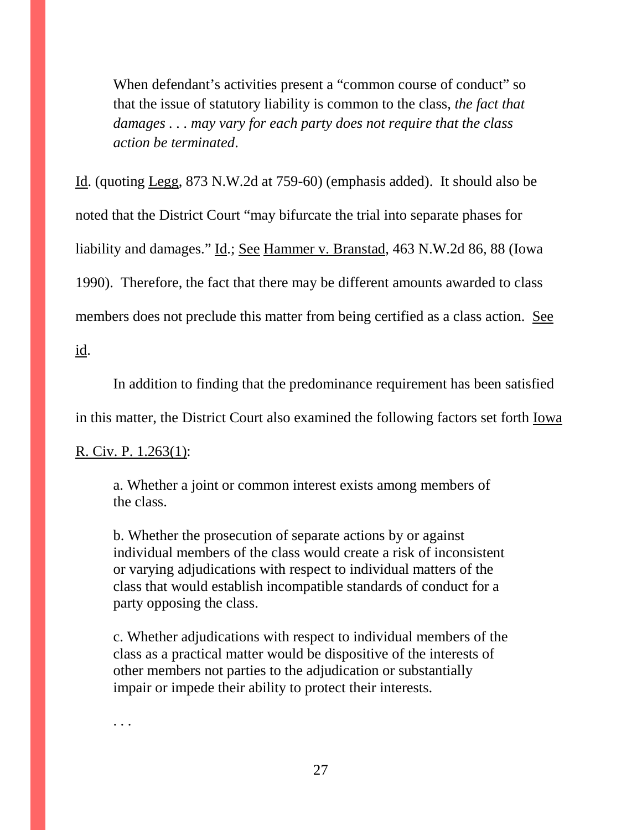When defendant's activities present a "common course of conduct" so that the issue of statutory liability is common to the class, *the fact that damages . . . may vary for each party does not require that the class action be terminated*.

Id. (quoting Legg, 873 N.W.2d at 759-60) (emphasis added). It should also be noted that the District Court "may bifurcate the trial into separate phases for liability and damages." Id.; See Hammer v. Branstad, 463 N.W.2d 86, 88 (Iowa 1990). Therefore, the fact that there may be different amounts awarded to class members does not preclude this matter from being certified as a class action. See id.

In addition to finding that the predominance requirement has been satisfied

in this matter, the District Court also examined the following factors set forth Iowa

### R. Civ. P. 1.263(1):

a. Whether a joint or common interest exists among members of the class.

b. Whether the prosecution of separate actions by or against individual members of the class would create a risk of inconsistent or varying adjudications with respect to individual matters of the class that would establish incompatible standards of conduct for a party opposing the class.

c. Whether adjudications with respect to individual members of the class as a practical matter would be dispositive of the interests of other members not parties to the adjudication or substantially impair or impede their ability to protect their interests.

. . .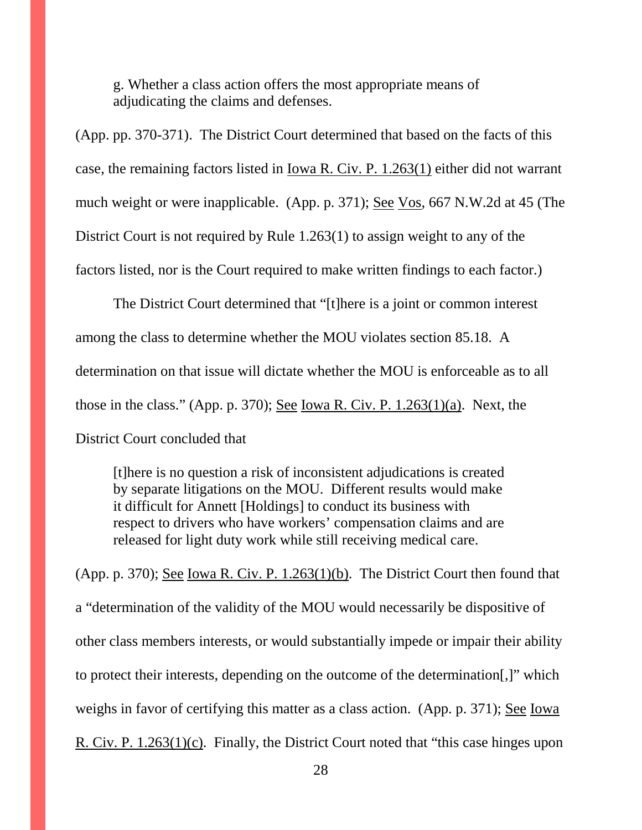g. Whether a class action offers the most appropriate means of adjudicating the claims and defenses.

(App. pp. 370-371). The District Court determined that based on the facts of this case, the remaining factors listed in Iowa R. Civ. P. 1.263(1) either did not warrant much weight or were inapplicable. (App. p. 371); <u>See Vos</u>, 667 N.W.2d at 45 (The District Court is not required by Rule 1.263(1) to assign weight to any of the factors listed, nor is the Court required to make written findings to each factor.)

The District Court determined that "[t]here is a joint or common interest among the class to determine whether the MOU violates section 85.18. A determination on that issue will dictate whether the MOU is enforceable as to all those in the class." (App. p. 370); See Iowa R. Civ. P. 1.263(1)(a). Next, the District Court concluded that

[t]here is no question a risk of inconsistent adjudications is created by separate litigations on the MOU. Different results would make it difficult for Annett [Holdings] to conduct its business with respect to drivers who have workers' compensation claims and are released for light duty work while still receiving medical care.

(App. p. 370); See Iowa R. Civ. P. 1.263(1)(b). The District Court then found that a "determination of the validity of the MOU would necessarily be dispositive of other class members interests, or would substantially impede or impair their ability to protect their interests, depending on the outcome of the determination[,]" which weighs in favor of certifying this matter as a class action. (App. p. 371); See Iowa R. Civ. P. 1.263(1)(c). Finally, the District Court noted that "this case hinges upon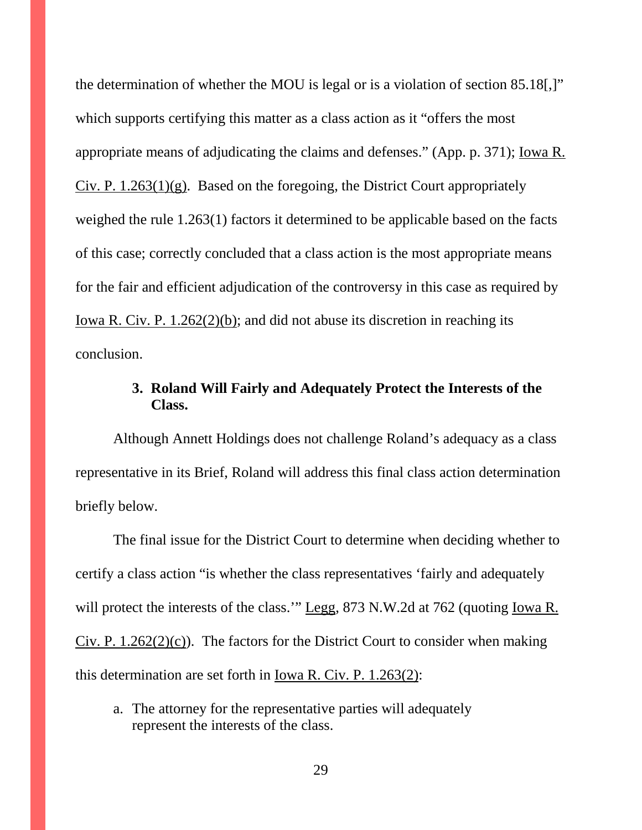the determination of whether the MOU is legal or is a violation of section 85.18[,]" which supports certifying this matter as a class action as it "offers the most appropriate means of adjudicating the claims and defenses." (App. p. 371); Iowa R.  $Civ$ . P. 1.263(1)(g). Based on the foregoing, the District Court appropriately weighed the rule 1.263(1) factors it determined to be applicable based on the facts of this case; correctly concluded that a class action is the most appropriate means for the fair and efficient adjudication of the controversy in this case as required by Iowa R. Civ. P. 1.262(2)(b); and did not abuse its discretion in reaching its conclusion.

### **3. Roland Will Fairly and Adequately Protect the Interests of the Class.**

Although Annett Holdings does not challenge Roland's adequacy as a class representative in its Brief, Roland will address this final class action determination briefly below.

The final issue for the District Court to determine when deciding whether to certify a class action "is whether the class representatives 'fairly and adequately will protect the interests of the class." Legg, 873 N.W.2d at 762 (quoting Iowa R.  $Civ$ . P. 1.262(2)(c)). The factors for the District Court to consider when making this determination are set forth in Iowa R. Civ. P. 1.263(2):

a. The attorney for the representative parties will adequately represent the interests of the class.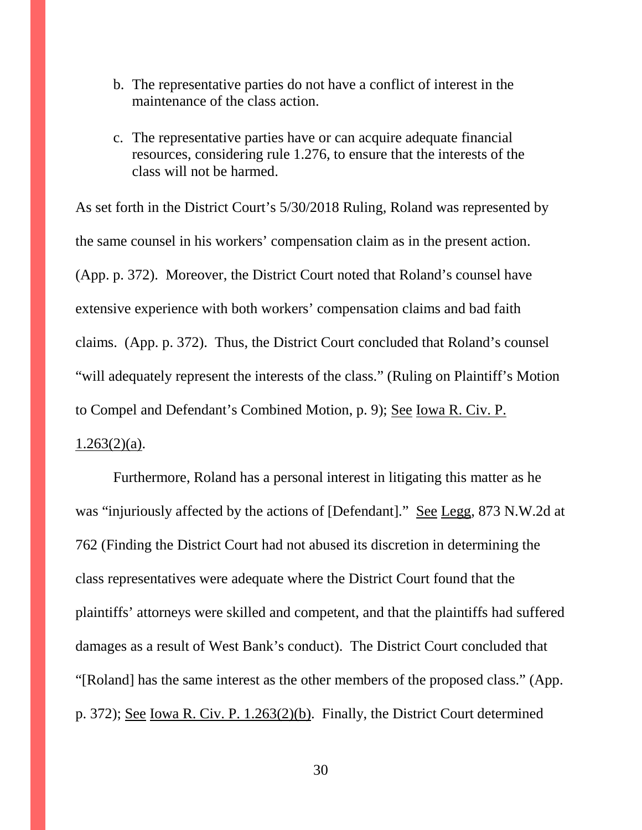- b. The representative parties do not have a conflict of interest in the maintenance of the class action.
- c. The representative parties have or can acquire adequate financial resources, considering rule 1.276, to ensure that the interests of the class will not be harmed.

As set forth in the District Court's 5/30/2018 Ruling, Roland was represented by the same counsel in his workers' compensation claim as in the present action. (App. p. 372). Moreover, the District Court noted that Roland's counsel have extensive experience with both workers' compensation claims and bad faith claims. (App. p. 372). Thus, the District Court concluded that Roland's counsel "will adequately represent the interests of the class." (Ruling on Plaintiff's Motion to Compel and Defendant's Combined Motion, p. 9); See Iowa R. Civ. P.  $1.263(2)(a)$ .

Furthermore, Roland has a personal interest in litigating this matter as he was "injuriously affected by the actions of [Defendant]." See Legg, 873 N.W.2d at 762 (Finding the District Court had not abused its discretion in determining the class representatives were adequate where the District Court found that the plaintiffs' attorneys were skilled and competent, and that the plaintiffs had suffered damages as a result of West Bank's conduct). The District Court concluded that "[Roland] has the same interest as the other members of the proposed class." (App. p. 372); See Iowa R. Civ. P. 1.263(2)(b). Finally, the District Court determined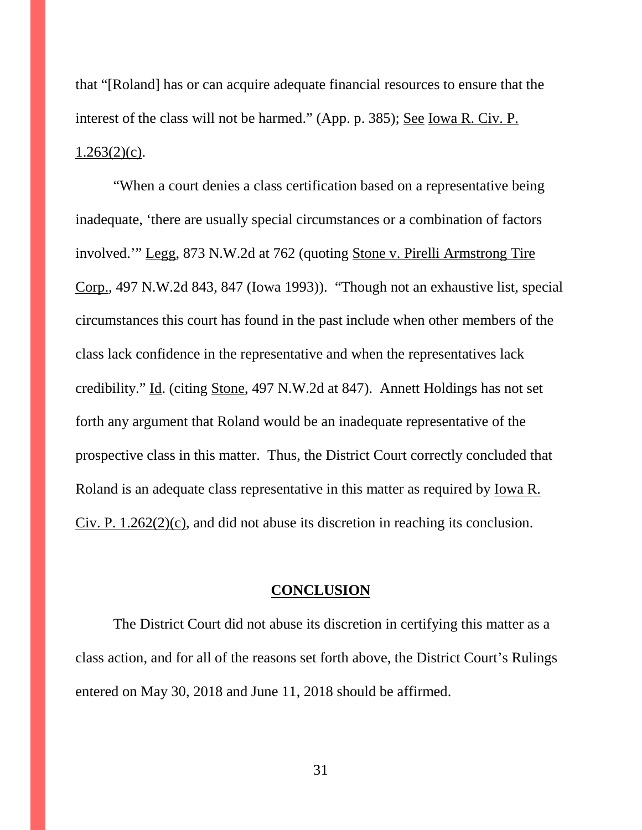that "[Roland] has or can acquire adequate financial resources to ensure that the interest of the class will not be harmed." (App. p. 385); See Iowa R. Civ. P.  $1.263(2)(c)$ .

"When a court denies a class certification based on a representative being inadequate, 'there are usually special circumstances or a combination of factors involved.'" Legg, 873 N.W.2d at 762 (quoting Stone v. Pirelli Armstrong Tire Corp., 497 N.W.2d 843, 847 (Iowa 1993)). "Though not an exhaustive list, special circumstances this court has found in the past include when other members of the class lack confidence in the representative and when the representatives lack credibility." Id. (citing Stone, 497 N.W.2d at 847). Annett Holdings has not set forth any argument that Roland would be an inadequate representative of the prospective class in this matter. Thus, the District Court correctly concluded that Roland is an adequate class representative in this matter as required by Iowa R. Civ. P.  $1.262(2)(c)$ , and did not abuse its discretion in reaching its conclusion.

#### **CONCLUSION**

The District Court did not abuse its discretion in certifying this matter as a class action, and for all of the reasons set forth above, the District Court's Rulings entered on May 30, 2018 and June 11, 2018 should be affirmed.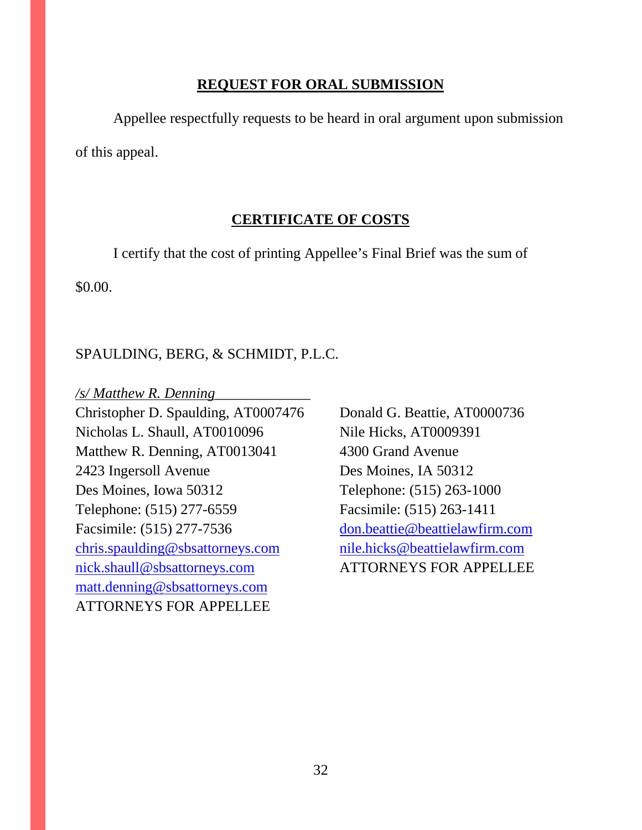### **REQUEST FOR ORAL SUBMISSION**

Appellee respectfully requests to be heard in oral argument upon submission of this appeal.

### **CERTIFICATE OF COSTS**

I certify that the cost of printing Appellee's Final Brief was the sum of \$0.00.

### SPAULDING, BERG, & SCHMIDT, P.L.C.

*/s/ Matthew R. Denning*\_\_\_\_\_\_\_\_\_\_\_\_\_

Christopher D. Spaulding, AT0007476 Donald G. Beattie, AT0000736 Nicholas L. Shaull, AT0010096 Nile Hicks, AT0009391 Matthew R. Denning, AT0013041 4300 Grand Avenue 2423 Ingersoll Avenue Des Moines, IA 50312 Des Moines, Iowa 50312 Telephone: (515) 263-1000 Telephone: (515) 277-6559 Facsimile: (515) 263-1411 Facsimile: (515) 277-7536 [don.beattie@beattielawfirm.com](mailto:don.beattie@beattielawfirm.com) [chris.spaulding@sbsattorneys.com](mailto:chris.spaulding@sbsattorneys.com) [nile.hicks@beattielawfirm.com](mailto:nile.hicks@beattielawfirm.com) [nick.shaull@sbsattorneys.com](mailto:nick.shaull@sbsattorneys.com) ATTORNEYS FOR APPELLEE [matt.denning@sbsattorneys.com](mailto:matt.denning@sbsattorneys.com) ATTORNEYS FOR APPELLEE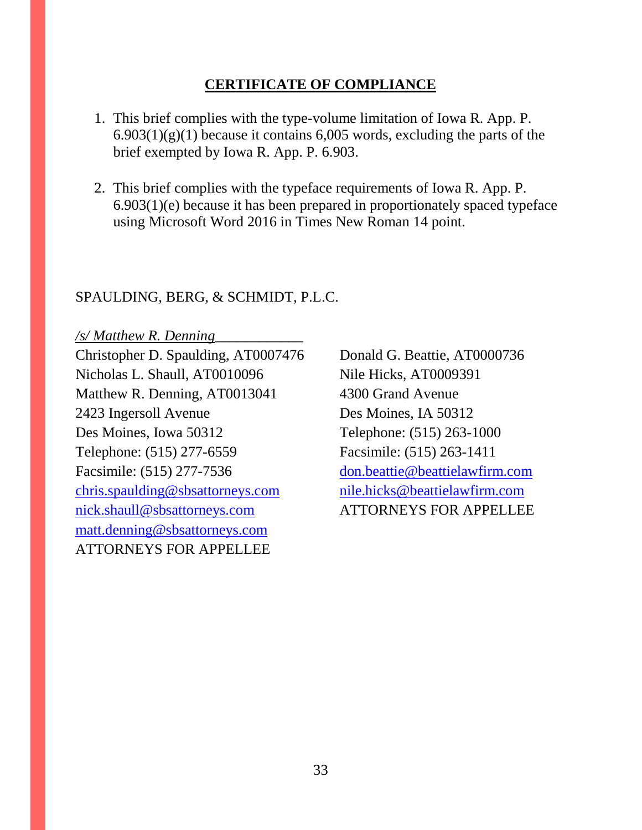### **CERTIFICATE OF COMPLIANCE**

- 1. This brief complies with the type-volume limitation of Iowa R. App. P.  $6.903(1)(g)(1)$  because it contains  $6,005$  words, excluding the parts of the brief exempted by Iowa R. App. P. 6.903.
- 2. This brief complies with the typeface requirements of Iowa R. App. P. 6.903(1)(e) because it has been prepared in proportionately spaced typeface using Microsoft Word 2016 in Times New Roman 14 point.

### SPAULDING, BERG, & SCHMIDT, P.L.C.

*/s/ Matthew R. Denning*\_\_\_\_\_\_\_\_\_\_\_\_ Christopher D. Spaulding, AT0007476 Donald G. Beattie, AT0000736 Nicholas L. Shaull, AT0010096 Nile Hicks, AT0009391 Matthew R. Denning, AT0013041 4300 Grand Avenue 2423 Ingersoll Avenue Des Moines, IA 50312 Des Moines, Iowa 50312 Telephone: (515) 263-1000 Telephone: (515) 277-6559 Facsimile: (515) 263-1411 Facsimile: (515) 277-7536 [don.beattie@beattielawfirm.com](mailto:don.beattie@beattielawfirm.com) [chris.spaulding@sbsattorneys.com](mailto:chris.spaulding@sbsattorneys.com) [nile.hicks@beattielawfirm.com](mailto:nile.hicks@beattielawfirm.com) [nick.shaull@sbsattorneys.com](mailto:nick.shaull@sbsattorneys.com) ATTORNEYS FOR APPELLEE [matt.denning@sbsattorneys.com](mailto:matt.denning@sbsattorneys.com) ATTORNEYS FOR APPELLEE